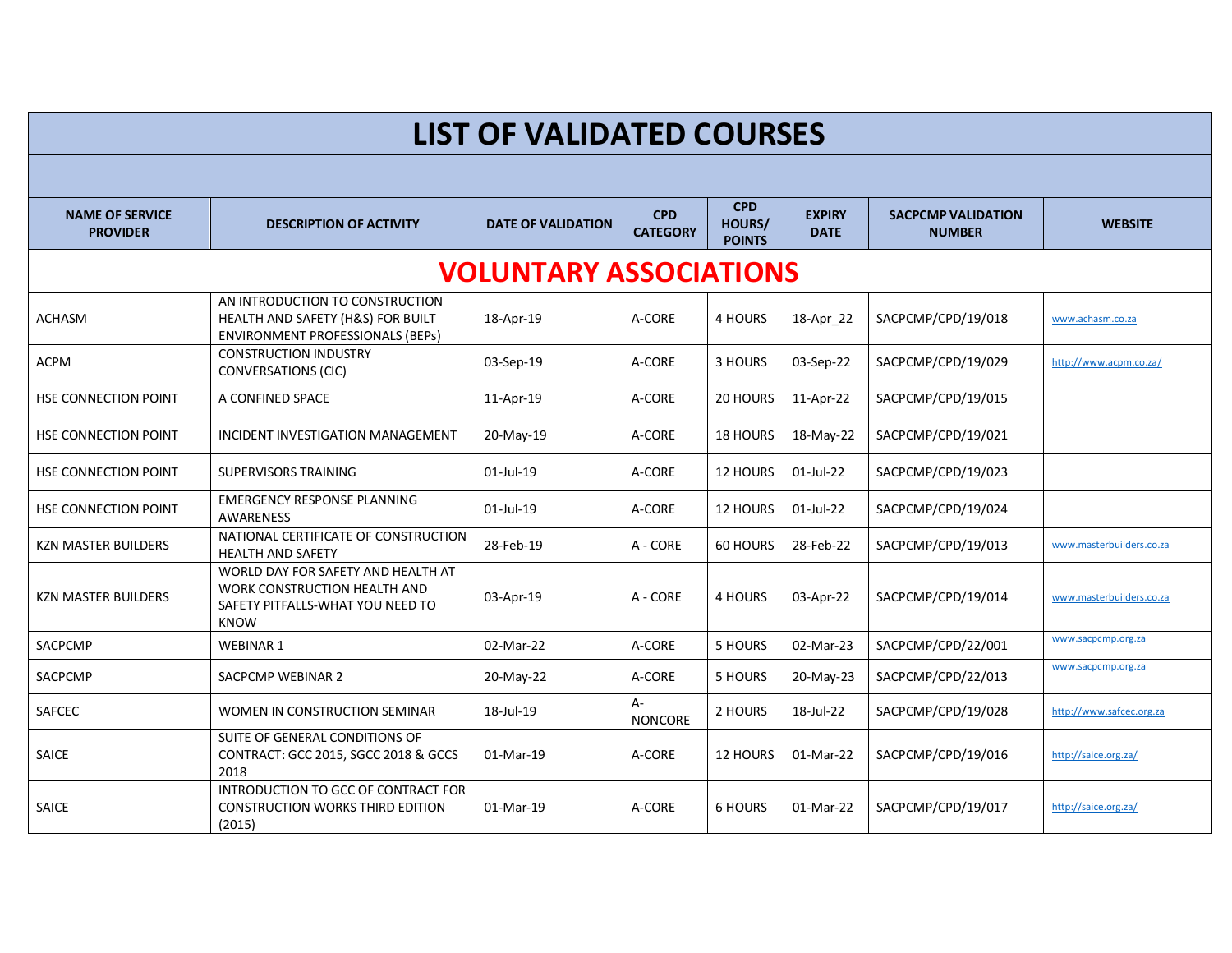| <b>LIST OF VALIDATED COURSES</b>          |                                                                                                                       |                           |                               |                                       |                              |                                            |                          |  |
|-------------------------------------------|-----------------------------------------------------------------------------------------------------------------------|---------------------------|-------------------------------|---------------------------------------|------------------------------|--------------------------------------------|--------------------------|--|
|                                           |                                                                                                                       |                           |                               |                                       |                              |                                            |                          |  |
| <b>NAME OF SERVICE</b><br><b>PROVIDER</b> | <b>DESCRIPTION OF ACTIVITY</b>                                                                                        | <b>DATE OF VALIDATION</b> | <b>CPD</b><br><b>CATEGORY</b> | <b>CPD</b><br>HOURS/<br><b>POINTS</b> | <b>EXPIRY</b><br><b>DATE</b> | <b>SACPCMP VALIDATION</b><br><b>NUMBER</b> | <b>WEBSITE</b>           |  |
| <b>VOLUNTARY ASSOCIATIONS</b>             |                                                                                                                       |                           |                               |                                       |                              |                                            |                          |  |
| <b>ACHASM</b>                             | AN INTRODUCTION TO CONSTRUCTION<br>HEALTH AND SAFETY (H&S) FOR BUILT<br><b>ENVIRONMENT PROFESSIONALS (BEPS)</b>       | 18-Apr-19                 | A-CORE                        | 4 HOURS                               | 18-Apr 22                    | SACPCMP/CPD/19/018                         | www.achasm.co.za         |  |
| <b>ACPM</b>                               | <b>CONSTRUCTION INDUSTRY</b><br><b>CONVERSATIONS (CIC)</b>                                                            | 03-Sep-19                 | A-CORE                        | 3 HOURS                               | 03-Sep-22                    | SACPCMP/CPD/19/029                         | http://www.acpm.co.za/   |  |
| HSE CONNECTION POINT                      | A CONFINED SPACE                                                                                                      | 11-Apr-19                 | A-CORE                        | 20 HOURS                              | 11-Apr-22                    | SACPCMP/CPD/19/015                         |                          |  |
| HSE CONNECTION POINT                      | INCIDENT INVESTIGATION MANAGEMENT                                                                                     | 20-May-19                 | A-CORE                        | <b>18 HOURS</b>                       | 18-May-22                    | SACPCMP/CPD/19/021                         |                          |  |
| <b>HSE CONNECTION POINT</b>               | <b>SUPERVISORS TRAINING</b>                                                                                           | 01-Jul-19                 | A-CORE                        | 12 HOURS                              | 01-Jul-22                    | SACPCMP/CPD/19/023                         |                          |  |
| HSE CONNECTION POINT                      | <b>EMERGENCY RESPONSE PLANNING</b><br><b>AWARENESS</b>                                                                | 01-Jul-19                 | A-CORE                        | 12 HOURS                              | 01-Jul-22                    | SACPCMP/CPD/19/024                         |                          |  |
| <b>KZN MASTER BUILDERS</b>                | NATIONAL CERTIFICATE OF CONSTRUCTION<br><b>HEALTH AND SAFETY</b>                                                      | 28-Feb-19                 | A - CORE                      | 60 HOURS                              | 28-Feb-22                    | SACPCMP/CPD/19/013                         | www.masterbuilders.co.za |  |
| <b>KZN MASTER BUILDERS</b>                | WORLD DAY FOR SAFETY AND HEALTH AT<br>WORK CONSTRUCTION HEALTH AND<br>SAFETY PITFALLS-WHAT YOU NEED TO<br><b>KNOW</b> | 03-Apr-19                 | A - CORE                      | 4 HOURS                               | 03-Apr-22                    | SACPCMP/CPD/19/014                         | www.masterbuilders.co.za |  |
| SACPCMP                                   | <b>WEBINAR1</b>                                                                                                       | 02-Mar-22                 | A-CORE                        | 5 HOURS                               | 02-Mar-23                    | SACPCMP/CPD/22/001                         | www.sacpcmp.org.za       |  |
| SACPCMP                                   | SACPCMP WEBINAR 2                                                                                                     | 20-May-22                 | A-CORE                        | 5 HOURS                               | 20-May-23                    | SACPCMP/CPD/22/013                         | www.sacpcmp.org.za       |  |
| SAFCEC                                    | WOMEN IN CONSTRUCTION SEMINAR                                                                                         | 18-Jul-19                 | A-<br><b>NONCORE</b>          | 2 HOURS                               | 18-Jul-22                    | SACPCMP/CPD/19/028                         | http://www.safcec.org.za |  |
| SAICE                                     | SUITE OF GENERAL CONDITIONS OF<br>CONTRACT: GCC 2015, SGCC 2018 & GCCS<br>2018                                        | 01-Mar-19                 | A-CORE                        | 12 HOURS                              | 01-Mar-22                    | SACPCMP/CPD/19/016                         | http://saice.org.za/     |  |
| SAICE                                     | INTRODUCTION TO GCC OF CONTRACT FOR<br><b>CONSTRUCTION WORKS THIRD EDITION</b><br>(2015)                              | 01-Mar-19                 | A-CORE                        | <b>6 HOURS</b>                        | 01-Mar-22                    | SACPCMP/CPD/19/017                         | http://saice.org.za/     |  |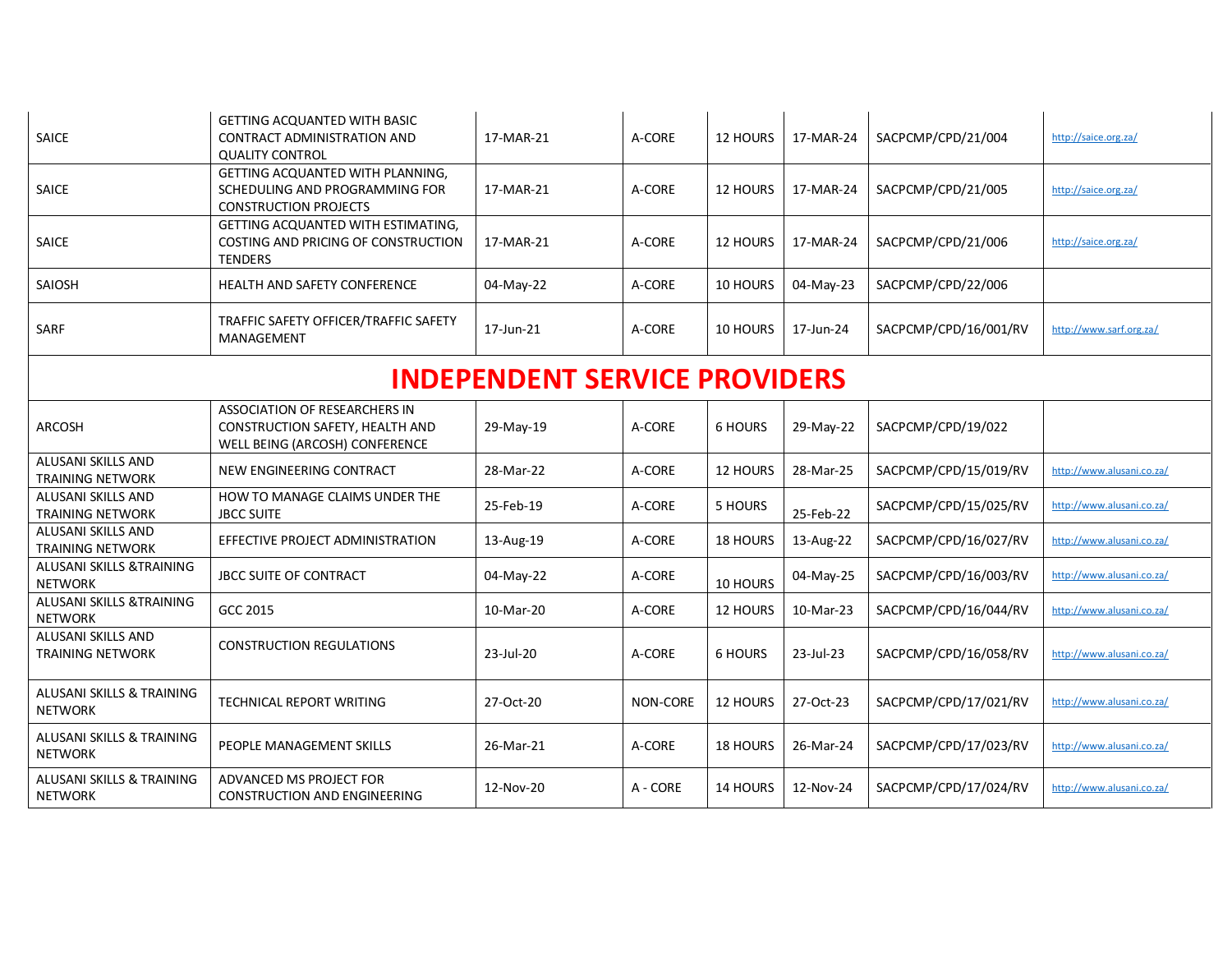| SAICE                                                  | GETTING ACQUANTED WITH BASIC<br>CONTRACT ADMINISTRATION AND<br><b>QUALITY CONTROL</b>              | 17-MAR-21 | A-CORE   | 12 HOURS       | 17-MAR-24 | SACPCMP/CPD/21/004    | http://saice.org.za/      |  |  |
|--------------------------------------------------------|----------------------------------------------------------------------------------------------------|-----------|----------|----------------|-----------|-----------------------|---------------------------|--|--|
| SAICE                                                  | GETTING ACQUANTED WITH PLANNING,<br>SCHEDULING AND PROGRAMMING FOR<br><b>CONSTRUCTION PROJECTS</b> | 17-MAR-21 | A-CORE   | 12 HOURS       | 17-MAR-24 | SACPCMP/CPD/21/005    | http://saice.org.za/      |  |  |
| SAICE                                                  | GETTING ACQUANTED WITH ESTIMATING,<br>COSTING AND PRICING OF CONSTRUCTION<br>TENDERS               | 17-MAR-21 | A-CORE   | 12 HOURS       | 17-MAR-24 | SACPCMP/CPD/21/006    | http://saice.org.za/      |  |  |
| SAIOSH                                                 | <b>HEALTH AND SAFETY CONFERENCE</b>                                                                | 04-May-22 | A-CORE   | 10 HOURS       | 04-May-23 | SACPCMP/CPD/22/006    |                           |  |  |
| <b>SARF</b>                                            | TRAFFIC SAFETY OFFICER/TRAFFIC SAFETY<br>MANAGEMENT                                                | 17-Jun-21 | A-CORE   | 10 HOURS       | 17-Jun-24 | SACPCMP/CPD/16/001/RV | http://www.sarf.org.za/   |  |  |
| <b>INDEPENDENT SERVICE PROVIDERS</b>                   |                                                                                                    |           |          |                |           |                       |                           |  |  |
| ARCOSH                                                 | ASSOCIATION OF RESEARCHERS IN<br>CONSTRUCTION SAFETY, HEALTH AND<br>WELL BEING (ARCOSH) CONFERENCE | 29-May-19 | A-CORE   | <b>6 HOURS</b> | 29-May-22 | SACPCMP/CPD/19/022    |                           |  |  |
| ALUSANI SKILLS AND<br><b>TRAINING NETWORK</b>          | NEW ENGINEERING CONTRACT                                                                           | 28-Mar-22 | A-CORE   | 12 HOURS       | 28-Mar-25 | SACPCMP/CPD/15/019/RV | http://www.alusani.co.za/ |  |  |
| ALUSANI SKILLS AND<br><b>TRAINING NETWORK</b>          | HOW TO MANAGE CLAIMS UNDER THE<br><b>JBCC SUITE</b>                                                | 25-Feb-19 | A-CORE   | 5 HOURS        | 25-Feb-22 | SACPCMP/CPD/15/025/RV | http://www.alusani.co.za/ |  |  |
| ALUSANI SKILLS AND<br><b>TRAINING NETWORK</b>          | EFFECTIVE PROJECT ADMINISTRATION                                                                   | 13-Aug-19 | A-CORE   | 18 HOURS       | 13-Aug-22 | SACPCMP/CPD/16/027/RV | http://www.alusani.co.za/ |  |  |
| ALUSANI SKILLS &TRAINING<br><b>NETWORK</b>             | JBCC SUITE OF CONTRACT                                                                             | 04-May-22 | A-CORE   | 10 HOURS       | 04-May-25 | SACPCMP/CPD/16/003/RV | http://www.alusani.co.za/ |  |  |
| ALUSANI SKILLS &TRAINING<br><b>NETWORK</b>             | GCC 2015                                                                                           | 10-Mar-20 | A-CORE   | 12 HOURS       | 10-Mar-23 | SACPCMP/CPD/16/044/RV | http://www.alusani.co.za/ |  |  |
| ALUSANI SKILLS AND<br><b>TRAINING NETWORK</b>          | <b>CONSTRUCTION REGULATIONS</b>                                                                    | 23-Jul-20 | A-CORE   | <b>6 HOURS</b> | 23-Jul-23 | SACPCMP/CPD/16/058/RV | http://www.alusani.co.za/ |  |  |
| ALUSANI SKILLS & TRAINING<br><b>NETWORK</b>            | TECHNICAL REPORT WRITING                                                                           | 27-Oct-20 | NON-CORE | 12 HOURS       | 27-Oct-23 | SACPCMP/CPD/17/021/RV | http://www.alusani.co.za/ |  |  |
| ALUSANI SKILLS & TRAINING<br><b>NETWORK</b>            | PEOPLE MANAGEMENT SKILLS                                                                           | 26-Mar-21 | A-CORE   | 18 HOURS       | 26-Mar-24 | SACPCMP/CPD/17/023/RV | http://www.alusani.co.za/ |  |  |
| <b>ALUSANI SKILLS &amp; TRAINING</b><br><b>NETWORK</b> | ADVANCED MS PROJECT FOR<br><b>CONSTRUCTION AND ENGINEERING</b>                                     | 12-Nov-20 | A - CORE | 14 HOURS       | 12-Nov-24 | SACPCMP/CPD/17/024/RV | http://www.alusani.co.za/ |  |  |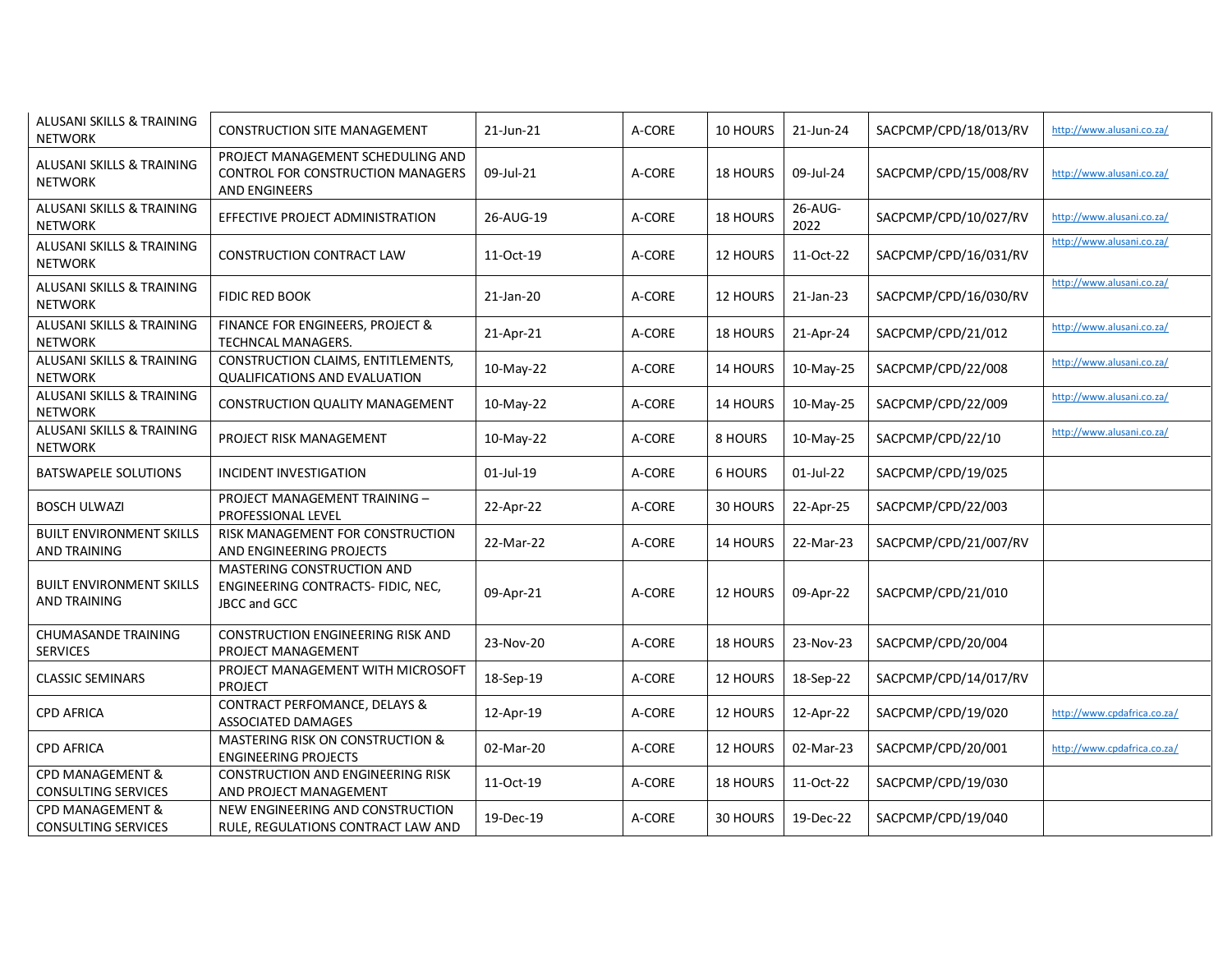| ALUSANI SKILLS & TRAINING<br><b>NETWORK</b>     | <b>CONSTRUCTION SITE MANAGEMENT</b>                                                     | 21-Jun-21 | A-CORE | 10 HOURS        | 21-Jun-24       | SACPCMP/CPD/18/013/RV | http://www.alusani.co.za/   |
|-------------------------------------------------|-----------------------------------------------------------------------------------------|-----------|--------|-----------------|-----------------|-----------------------|-----------------------------|
| ALUSANI SKILLS & TRAINING<br><b>NETWORK</b>     | PROJECT MANAGEMENT SCHEDULING AND<br>CONTROL FOR CONSTRUCTION MANAGERS<br>AND ENGINEERS | 09-Jul-21 | A-CORE | <b>18 HOURS</b> | 09-Jul-24       | SACPCMP/CPD/15/008/RV | http://www.alusani.co.za/   |
| ALUSANI SKILLS & TRAINING<br><b>NETWORK</b>     | EFFECTIVE PROJECT ADMINISTRATION                                                        | 26-AUG-19 | A-CORE | 18 HOURS        | 26-AUG-<br>2022 | SACPCMP/CPD/10/027/RV | http://www.alusani.co.za/   |
| ALUSANI SKILLS & TRAINING<br><b>NETWORK</b>     | CONSTRUCTION CONTRACT LAW                                                               | 11-Oct-19 | A-CORE | 12 HOURS        | 11-Oct-22       | SACPCMP/CPD/16/031/RV | http://www.alusani.co.za/   |
| ALUSANI SKILLS & TRAINING<br><b>NETWORK</b>     | FIDIC RED BOOK                                                                          | 21-Jan-20 | A-CORE | 12 HOURS        | 21-Jan-23       | SACPCMP/CPD/16/030/RV | http://www.alusani.co.za/   |
| ALUSANI SKILLS & TRAINING<br><b>NETWORK</b>     | FINANCE FOR ENGINEERS, PROJECT &<br>TECHNCAL MANAGERS.                                  | 21-Apr-21 | A-CORE | 18 HOURS        | 21-Apr-24       | SACPCMP/CPD/21/012    | http://www.alusani.co.za/   |
| ALUSANI SKILLS & TRAINING<br><b>NETWORK</b>     | CONSTRUCTION CLAIMS, ENTITLEMENTS,<br><b>QUALIFICATIONS AND EVALUATION</b>              | 10-May-22 | A-CORE | 14 HOURS        | 10-May-25       | SACPCMP/CPD/22/008    | http://www.alusani.co.za/   |
| ALUSANI SKILLS & TRAINING<br><b>NETWORK</b>     | CONSTRUCTION QUALITY MANAGEMENT                                                         | 10-May-22 | A-CORE | 14 HOURS        | 10-May-25       | SACPCMP/CPD/22/009    | http://www.alusani.co.za/   |
| ALUSANI SKILLS & TRAINING<br><b>NETWORK</b>     | PROJECT RISK MANAGEMENT                                                                 | 10-May-22 | A-CORE | 8 HOURS         | 10-May-25       | SACPCMP/CPD/22/10     | http://www.alusani.co.za/   |
| <b>BATSWAPELE SOLUTIONS</b>                     | INCIDENT INVESTIGATION                                                                  | 01-Jul-19 | A-CORE | <b>6 HOURS</b>  | 01-Jul-22       | SACPCMP/CPD/19/025    |                             |
| <b>BOSCH ULWAZI</b>                             | PROJECT MANAGEMENT TRAINING -<br>PROFESSIONAL LEVEL                                     | 22-Apr-22 | A-CORE | 30 HOURS        | 22-Apr-25       | SACPCMP/CPD/22/003    |                             |
| <b>BUILT ENVIRONMENT SKILLS</b><br>AND TRAINING | RISK MANAGEMENT FOR CONSTRUCTION<br>AND ENGINEERING PROJECTS                            | 22-Mar-22 | A-CORE | 14 HOURS        | 22-Mar-23       | SACPCMP/CPD/21/007/RV |                             |
| <b>BUILT ENVIRONMENT SKILLS</b><br>AND TRAINING | MASTERING CONSTRUCTION AND<br>ENGINEERING CONTRACTS- FIDIC, NEC,<br><b>JBCC and GCC</b> | 09-Apr-21 | A-CORE | 12 HOURS        | 09-Apr-22       | SACPCMP/CPD/21/010    |                             |
| CHUMASANDE TRAINING<br><b>SERVICES</b>          | CONSTRUCTION ENGINEERING RISK AND<br>PROJECT MANAGEMENT                                 | 23-Nov-20 | A-CORE | 18 HOURS        | 23-Nov-23       | SACPCMP/CPD/20/004    |                             |
| <b>CLASSIC SEMINARS</b>                         | PROJECT MANAGEMENT WITH MICROSOFT<br><b>PROJECT</b>                                     | 18-Sep-19 | A-CORE | 12 HOURS        | 18-Sep-22       | SACPCMP/CPD/14/017/RV |                             |
| <b>CPD AFRICA</b>                               | CONTRACT PERFOMANCE, DELAYS &<br>ASSOCIATED DAMAGES                                     | 12-Apr-19 | A-CORE | 12 HOURS        | 12-Apr-22       | SACPCMP/CPD/19/020    | http://www.cpdafrica.co.za/ |
| <b>CPD AFRICA</b>                               | MASTERING RISK ON CONSTRUCTION &<br><b>ENGINEERING PROJECTS</b>                         | 02-Mar-20 | A-CORE | 12 HOURS        | 02-Mar-23       | SACPCMP/CPD/20/001    | http://www.cpdafrica.co.za/ |
| CPD MANAGEMENT &<br>CONSULTING SERVICES         | CONSTRUCTION AND ENGINEERING RISK<br>AND PROJECT MANAGEMENT                             | 11-Oct-19 | A-CORE | 18 HOURS        | 11-Oct-22       | SACPCMP/CPD/19/030    |                             |
| CPD MANAGEMENT &<br><b>CONSULTING SERVICES</b>  | NEW ENGINEERING AND CONSTRUCTION<br>RULE, REGULATIONS CONTRACT LAW AND                  | 19-Dec-19 | A-CORE | 30 HOURS        | 19-Dec-22       | SACPCMP/CPD/19/040    |                             |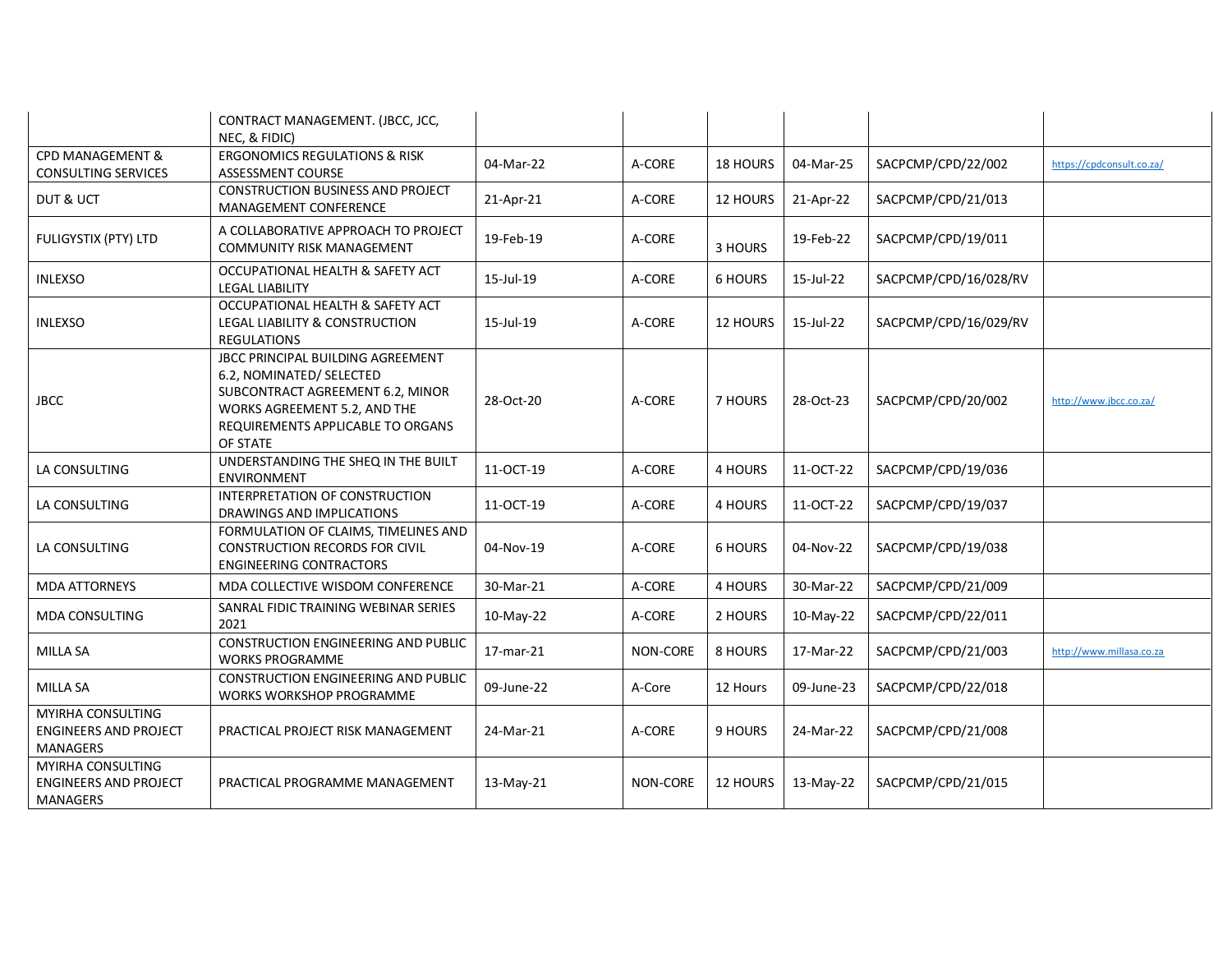|                                                                      | CONTRACT MANAGEMENT. (JBCC, JCC,<br>NEC, & FIDIC)                                                                                                                                         |            |                 |                |            |                       |                           |
|----------------------------------------------------------------------|-------------------------------------------------------------------------------------------------------------------------------------------------------------------------------------------|------------|-----------------|----------------|------------|-----------------------|---------------------------|
| CPD MANAGEMENT &<br><b>CONSULTING SERVICES</b>                       | <b>ERGONOMICS REGULATIONS &amp; RISK</b><br>ASSESSMENT COURSE                                                                                                                             | 04-Mar-22  | A-CORE          | 18 HOURS       | 04-Mar-25  | SACPCMP/CPD/22/002    | https://cpdconsult.co.za/ |
| DUT & UCT                                                            | CONSTRUCTION BUSINESS AND PROJECT<br>MANAGEMENT CONFERENCE                                                                                                                                | 21-Apr-21  | A-CORE          | 12 HOURS       | 21-Apr-22  | SACPCMP/CPD/21/013    |                           |
| FULIGYSTIX (PTY) LTD                                                 | A COLLABORATIVE APPROACH TO PROJECT<br><b>COMMUNITY RISK MANAGEMENT</b>                                                                                                                   | 19-Feb-19  | A-CORE          | 3 HOURS        | 19-Feb-22  | SACPCMP/CPD/19/011    |                           |
| <b>INLEXSO</b>                                                       | OCCUPATIONAL HEALTH & SAFETY ACT<br><b>LEGAL LIABILITY</b>                                                                                                                                | 15-Jul-19  | A-CORE          | <b>6 HOURS</b> | 15-Jul-22  | SACPCMP/CPD/16/028/RV |                           |
| <b>INLEXSO</b>                                                       | OCCUPATIONAL HEALTH & SAFETY ACT<br>LEGAL LIABILITY & CONSTRUCTION<br><b>REGULATIONS</b>                                                                                                  | 15-Jul-19  | A-CORE          | 12 HOURS       | 15-Jul-22  | SACPCMP/CPD/16/029/RV |                           |
| <b>JBCC</b>                                                          | <b>JBCC PRINCIPAL BUILDING AGREEMENT</b><br>6.2, NOMINATED/ SELECTED<br>SUBCONTRACT AGREEMENT 6.2, MINOR<br>WORKS AGREEMENT 5.2, AND THE<br>REQUIREMENTS APPLICABLE TO ORGANS<br>OF STATE | 28-Oct-20  | A-CORE          | 7 HOURS        | 28-Oct-23  | SACPCMP/CPD/20/002    | http://www.jbcc.co.za/    |
| LA CONSULTING                                                        | UNDERSTANDING THE SHEQ IN THE BUILT<br><b>ENVIRONMENT</b>                                                                                                                                 | 11-OCT-19  | A-CORE          | 4 HOURS        | 11-OCT-22  | SACPCMP/CPD/19/036    |                           |
| LA CONSULTING                                                        | INTERPRETATION OF CONSTRUCTION<br>DRAWINGS AND IMPLICATIONS                                                                                                                               | 11-OCT-19  | A-CORE          | 4 HOURS        | 11-OCT-22  | SACPCMP/CPD/19/037    |                           |
| LA CONSULTING                                                        | FORMULATION OF CLAIMS, TIMELINES AND<br><b>CONSTRUCTION RECORDS FOR CIVIL</b><br><b>ENGINEERING CONTRACTORS</b>                                                                           | 04-Nov-19  | A-CORE          | 6 HOURS        | 04-Nov-22  | SACPCMP/CPD/19/038    |                           |
| <b>MDA ATTORNEYS</b>                                                 | MDA COLLECTIVE WISDOM CONFERENCE                                                                                                                                                          | 30-Mar-21  | A-CORE          | 4 HOURS        | 30-Mar-22  | SACPCMP/CPD/21/009    |                           |
| MDA CONSULTING                                                       | SANRAL FIDIC TRAINING WEBINAR SERIES<br>2021                                                                                                                                              | 10-May-22  | A-CORE          | 2 HOURS        | 10-May-22  | SACPCMP/CPD/22/011    |                           |
| <b>MILLA SA</b>                                                      | CONSTRUCTION ENGINEERING AND PUBLIC<br><b>WORKS PROGRAMME</b>                                                                                                                             | 17-mar-21  | NON-CORE        | 8 HOURS        | 17-Mar-22  | SACPCMP/CPD/21/003    | http://www.millasa.co.za  |
| <b>MILLA SA</b>                                                      | CONSTRUCTION ENGINEERING AND PUBLIC<br>WORKS WORKSHOP PROGRAMME                                                                                                                           | 09-June-22 | A-Core          | 12 Hours       | 09-June-23 | SACPCMP/CPD/22/018    |                           |
| MYIRHA CONSULTING<br><b>ENGINEERS AND PROJECT</b><br><b>MANAGERS</b> | PRACTICAL PROJECT RISK MANAGEMENT                                                                                                                                                         | 24-Mar-21  | A-CORE          | 9 HOURS        | 24-Mar-22  | SACPCMP/CPD/21/008    |                           |
| MYIRHA CONSULTING<br><b>ENGINEERS AND PROJECT</b><br><b>MANAGERS</b> | PRACTICAL PROGRAMME MANAGEMENT                                                                                                                                                            | 13-May-21  | <b>NON-CORE</b> | 12 HOURS       | 13-May-22  | SACPCMP/CPD/21/015    |                           |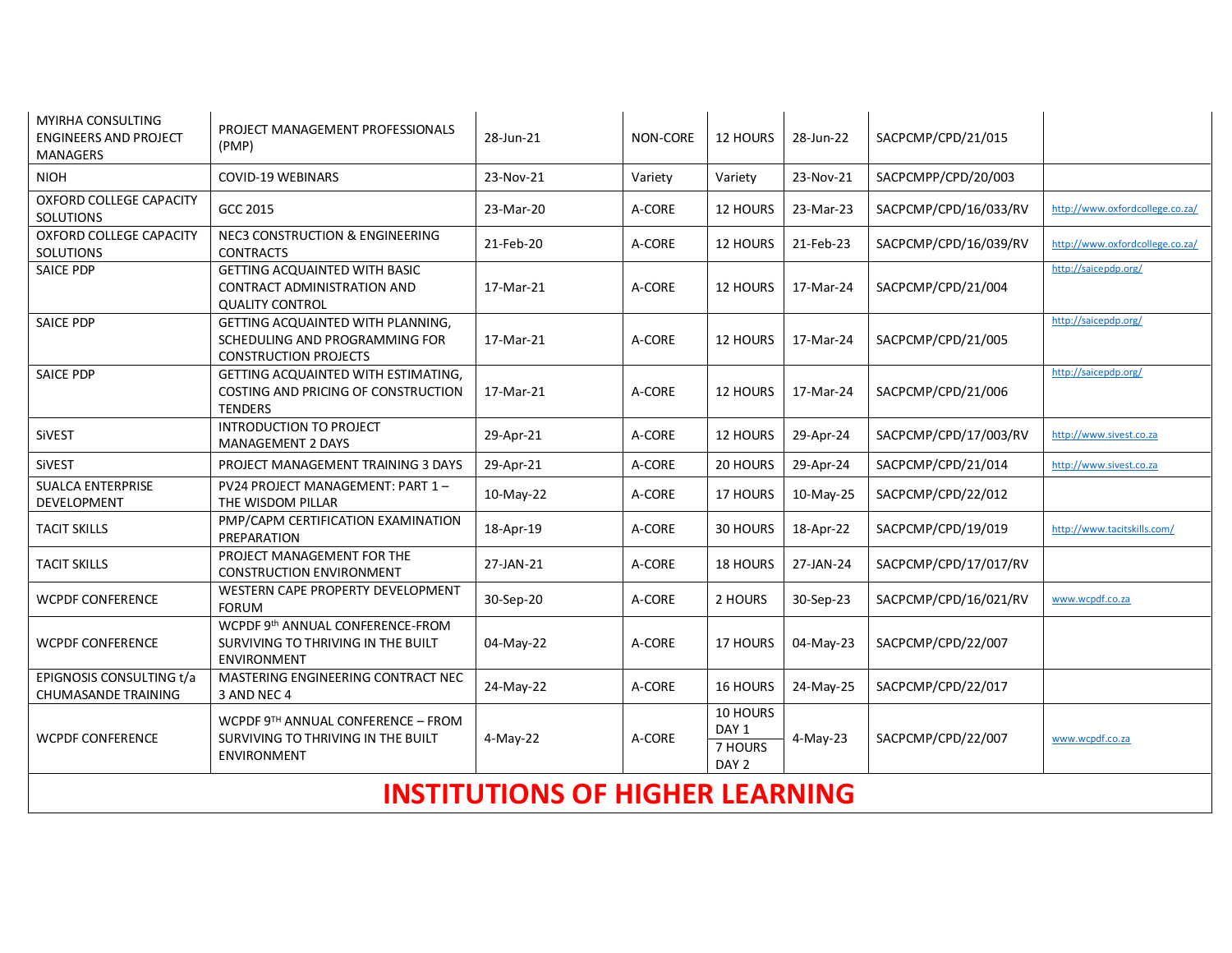| <b>MYIRHA CONSULTING</b><br><b>ENGINEERS AND PROJECT</b><br><b>MANAGERS</b> | PROJECT MANAGEMENT PROFESSIONALS<br>(PMP)                                                           | 28-Jun-21 | NON-CORE | 12 HOURS                                         | 28-Jun-22 | SACPCMP/CPD/21/015    |                                 |  |
|-----------------------------------------------------------------------------|-----------------------------------------------------------------------------------------------------|-----------|----------|--------------------------------------------------|-----------|-----------------------|---------------------------------|--|
| <b>NIOH</b>                                                                 | <b>COVID-19 WEBINARS</b>                                                                            | 23-Nov-21 | Variety  | Variety                                          | 23-Nov-21 | SACPCMPP/CPD/20/003   |                                 |  |
| OXFORD COLLEGE CAPACITY<br><b>SOLUTIONS</b>                                 | GCC 2015                                                                                            | 23-Mar-20 | A-CORE   | 12 HOURS                                         | 23-Mar-23 | SACPCMP/CPD/16/033/RV | http://www.oxfordcollege.co.za/ |  |
| OXFORD COLLEGE CAPACITY<br>SOLUTIONS                                        | <b>NEC3 CONSTRUCTION &amp; ENGINEERING</b><br><b>CONTRACTS</b>                                      | 21-Feb-20 | A-CORE   | 12 HOURS                                         | 21-Feb-23 | SACPCMP/CPD/16/039/RV | http://www.oxfordcollege.co.za/ |  |
| SAICE PDP                                                                   | <b>GETTING ACQUAINTED WITH BASIC</b><br>CONTRACT ADMINISTRATION AND<br><b>QUALITY CONTROL</b>       | 17-Mar-21 | A-CORE   | <b>12 HOURS</b>                                  | 17-Mar-24 | SACPCMP/CPD/21/004    | http://saicepdp.org/            |  |
| SAICE PDP                                                                   | GETTING ACQUAINTED WITH PLANNING,<br>SCHEDULING AND PROGRAMMING FOR<br><b>CONSTRUCTION PROJECTS</b> | 17-Mar-21 | A-CORE   | 12 HOURS                                         | 17-Mar-24 | SACPCMP/CPD/21/005    | http://saicepdp.org/            |  |
| SAICE PDP                                                                   | GETTING ACQUAINTED WITH ESTIMATING,<br>COSTING AND PRICING OF CONSTRUCTION<br><b>TENDERS</b>        | 17-Mar-21 | A-CORE   | 12 HOURS                                         | 17-Mar-24 | SACPCMP/CPD/21/006    | http://saicepdp.org/            |  |
| <b>SiVEST</b>                                                               | <b>INTRODUCTION TO PROJECT</b><br><b>MANAGEMENT 2 DAYS</b>                                          | 29-Apr-21 | A-CORE   | 12 HOURS                                         | 29-Apr-24 | SACPCMP/CPD/17/003/RV | http://www.sivest.co.za         |  |
| SiVEST                                                                      | PROJECT MANAGEMENT TRAINING 3 DAYS                                                                  | 29-Apr-21 | A-CORE   | 20 HOURS                                         | 29-Apr-24 | SACPCMP/CPD/21/014    | http://www.sivest.co.za         |  |
| <b>SUALCA ENTERPRISE</b><br>DEVELOPMENT                                     | PV24 PROJECT MANAGEMENT: PART 1-<br>THE WISDOM PILLAR                                               | 10-May-22 | A-CORE   | 17 HOURS                                         | 10-May-25 | SACPCMP/CPD/22/012    |                                 |  |
| <b>TACIT SKILLS</b>                                                         | PMP/CAPM CERTIFICATION EXAMINATION<br>PREPARATION                                                   | 18-Apr-19 | A-CORE   | 30 HOURS                                         | 18-Apr-22 | SACPCMP/CPD/19/019    | http://www.tacitskills.com/     |  |
| <b>TACIT SKILLS</b>                                                         | PROJECT MANAGEMENT FOR THE<br><b>CONSTRUCTION ENVIRONMENT</b>                                       | 27-JAN-21 | A-CORE   | 18 HOURS                                         | 27-JAN-24 | SACPCMP/CPD/17/017/RV |                                 |  |
| <b>WCPDF CONFERENCE</b>                                                     | WESTERN CAPE PROPERTY DEVELOPMENT<br><b>FORUM</b>                                                   | 30-Sep-20 | A-CORE   | 2 HOURS                                          | 30-Sep-23 | SACPCMP/CPD/16/021/RV | www.wcpdf.co.za                 |  |
| <b>WCPDF CONFERENCE</b>                                                     | WCPDF 9th ANNUAL CONFERENCE-FROM<br>SURVIVING TO THRIVING IN THE BUILT<br><b>ENVIRONMENT</b>        | 04-May-22 | A-CORE   | 17 HOURS                                         | 04-May-23 | SACPCMP/CPD/22/007    |                                 |  |
| EPIGNOSIS CONSULTING t/a<br><b>CHUMASANDE TRAINING</b>                      | MASTERING ENGINEERING CONTRACT NEC<br>3 AND NEC 4                                                   | 24-May-22 | A-CORE   | 16 HOURS                                         | 24-May-25 | SACPCMP/CPD/22/017    |                                 |  |
| <b>WCPDF CONFERENCE</b>                                                     | WCPDF $9TH$ ANNUAL CONFERENCE - FROM<br>SURVIVING TO THRIVING IN THE BUILT<br><b>ENVIRONMENT</b>    | 4-May-22  | A-CORE   | 10 HOURS<br>DAY 1<br>7 HOURS<br>DAY <sub>2</sub> | 4-May-23  | SACPCMP/CPD/22/007    | www.wcpdf.co.za                 |  |
| <b>INSTITUTIONS OF HIGHER LEARNING</b>                                      |                                                                                                     |           |          |                                                  |           |                       |                                 |  |